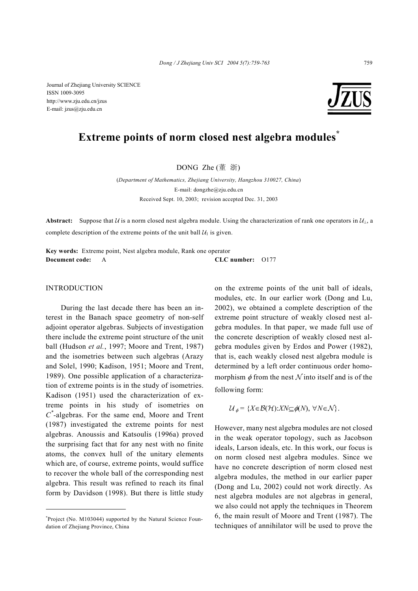Journal of Zhejiang University SCIENCE ISSN 1009-3095 http://www.zju.edu.cn/jzus E-mail: jzus@zju.edu.cn

# **Extreme points of norm closed nest algebra modules\***

DONG Zhe (董 浙)

(*Department of Mathematics, Zhejiang University, Hangzhou 310027, China*) E-mail: dongzhe@zju.edu.cn Received Sept. 10, 2003; revision accepted Dec. 31, 2003

**Abstract:** Suppose that U is a norm closed nest algebra module. Using the characterization of rank one operators in  $U_1$ , a complete description of the extreme points of the unit ball  $U_1$  is given.

**Key words:** Extreme point, Nest algebra module, Rank one operator **Document code:** A **CLC number:** O177

## INTRODUCTION

During the last decade there has been an interest in the Banach space geometry of non-self adjoint operator algebras. Subjects of investigation there include the extreme point structure of the unit ball (Hudson *et al.*, 1997; Moore and Trent, 1987) and the isometries between such algebras (Arazy and Solel, 1990; Kadison, 1951; Moore and Trent, 1989). One possible application of a characterization of extreme points is in the study of isometries. Kadison (1951) used the characterization of extreme points in his study of isometries on *C\* -*algebras. For the same end, Moore and Trent (1987) investigated the extreme points for nest algebras. Anoussis and Katsoulis (1996a) proved the surprising fact that for any nest with no finite atoms, the convex hull of the unitary elements which are, of course, extreme points, would suffice to recover the whole ball of the corresponding nest algebra. This result was refined to reach its final form by Davidson (1998). But there is little study

on the extreme points of the unit ball of ideals, modules, etc. In our earlier work (Dong and Lu, 2002), we obtained a complete description of the extreme point structure of weakly closed nest algebra modules. In that paper, we made full use of the concrete description of weakly closed nest algebra modules given by Erdos and Power (1982), that is, each weakly closed nest algebra module is determined by a left order continuous order homomorphism  $\phi$  from the nest N into itself and is of the following form:

$$
\mathcal{U}_{\phi} = \{ X \in \mathcal{B}(\mathcal{H}) : XN \subseteq \phi(N), \ \forall N \in \mathcal{N} \}.
$$

However, many nest algebra modules are not closed in the weak operator topology, such as Jacobson ideals, Larson ideals, etc. In this work, our focus is on norm closed nest algebra modules. Since we have no concrete description of norm closed nest algebra modules, the method in our earlier paper (Dong and Lu, 2002) could not work directly. As nest algebra modules are not algebras in general, we also could not apply the techniques in Theorem 6, the main result of Moore and Trent (1987). The techniques of annihilator will be used to prove the

**<sup>\*</sup>** Project (No. M103044) supported by the Natural Science Foundation of Zhejiang Province, China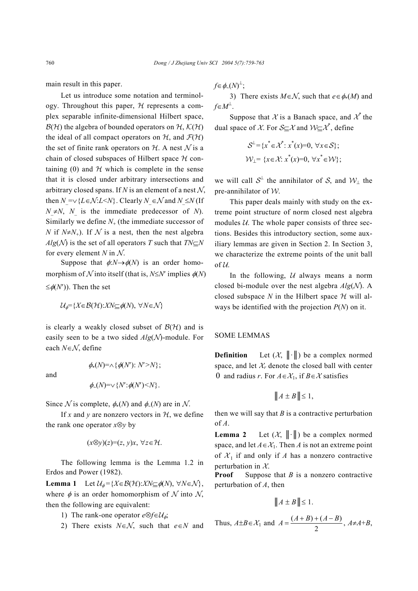main result in this paper.

Let us introduce some notation and terminology. Throughout this paper,  $H$  represents a complex separable infinite-dimensional Hilbert space,  $\mathcal{B}(\mathcal{H})$  the algebra of bounded operators on  $\mathcal{H}$ ,  $\mathcal{K}(\mathcal{H})$ the ideal of all compact operators on  $H$ , and  $\mathcal{F}(\mathcal{H})$ the set of finite rank operators on  $H$ . A nest  $N$  is a chain of closed subspaces of Hilbert space  $H$  containing (0) and  $H$  which is complete in the sense that it is closed under arbitrary intersections and arbitrary closed spans. If  $N$  is an element of a nest  $N$ , then  $N = √$  { $L ∈ N$ : $L < N$ }. Clearly  $N ∈ N$  and  $N ≤ N$  (If  $N \neq N$ , *N* is the immediate predecessor of *N*). Similarly we define  $N_{+}$  (the immediate successor of *N* if  $N \neq N_+$ ). If N is a nest, then the nest algebra *Alg*( $\mathcal{N}$ ) is the set of all operators *T* such that  $TN\subseteq N$ for every element  $N$  in  $N$ .

Suppose that  $\phi: N \rightarrow \phi(N)$  is an order homomorphism of  $\mathcal N$  into itself (that is,  $N \leq N'$  implies  $\phi(N)$ )  $\leq \phi(N')$ ). Then the set

$$
\mathcal{U}_{\phi} = \{ X \in \mathcal{B}(\mathcal{H}) : XN \subseteq \phi(N), \ \forall N \in \mathcal{N} \}
$$

is clearly a weakly closed subset of  $\mathcal{B}(\mathcal{H})$  and is easily seen to be a two sided *Alg*(N)-module. For each *N*∈N, define

and

$$
\phi_{\sim}(N)=\vee\{N';\phi(N')\leq N\}.
$$

 $\phi_*(N)=\wedge \{\phi(N'): N'>N\};$ 

Since N is complete,  $\phi_*(N)$  and  $\phi_*(N)$  are in N.

If x and y are nonzero vectors in  $H$ , we define the rank one operator *x*⊗*y* by

$$
(x\otimes y)(z)=(z, y)x, \forall z\in\mathcal{H}.
$$

The following lemma is the Lemma 1.2 in Erdos and Power (1982).

**Lemma 1** Let  $\mathcal{U}_{\phi} = \{X \in \mathcal{B}(\mathcal{H}): XN \subseteq \phi(N), \forall N \in \mathcal{N}\},\$ where  $\phi$  is an order homomorphism of  $N$  into  $N$ , then the following are equivalent:

- 1) The rank-one operator  $e \otimes f \in \mathcal{U}_{\phi}$ ;
- 2) There exists *N*∈N, such that *e*∈*N* and

*f*∈ $\phi$ ∼ $(N)^{\perp}$ ;

3) There exists  $M \in \mathcal{N}$ , such that  $e \in \phi_*(M)$  and  $f ∈ M^{\perp}$ .

Suppose that X is a Banach space, and  $\chi^*$  the dual space of X. For  $S \subseteq \mathcal{X}$  and  $\mathcal{W} \subseteq \mathcal{X}^*$ , define

$$
\mathcal{S}^{\perp} = \{x^* \in \mathcal{X}^* : x^*(x) = 0, \forall x \in \mathcal{S}\};
$$
  

$$
\mathcal{W}_{\perp} = \{x \in \mathcal{X} : x^*(x) = 0, \forall x^* \in \mathcal{W}\};
$$

we will call  $S^{\perp}$  the annihilator of S, and  $\mathcal{W}_{\perp}$  the pre-annihilator of W.

This paper deals mainly with study on the extreme point structure of norm closed nest algebra modules  $U$ . The whole paper consists of three sections. Besides this introductory section, some auxiliary lemmas are given in Section 2. In Section 3, we characterize the extreme points of the unit ball of  $U$ .

In the following,  $U$  always means a norm closed bi-module over the nest algebra  $Alg(N)$ . A closed subspace N in the Hilbert space  $H$  will always be identified with the projection *P*(*N*) on it.

#### SOME LEMMAS

**Definition** Let  $(X, \|\cdot\|)$  be a complex normed space, and let  $X_r$  denote the closed ball with center 0 and radius *r*. For  $A \in \mathcal{X}_1$ , if  $B \in \mathcal{X}$  satisfies

$$
||A \pm B|| \le 1,
$$

then we will say that  $B$  is a contractive perturbation of *A*.

**Lemma 2** Let  $(X, \|\cdot\|)$  be a complex normed space, and let  $A \in \mathcal{X}_1$ . Then *A* is not an extreme point of  $X_1$  if and only if *A* has a nonzero contractive perturbation in  $X$ .

**Proof** Suppose that *B* is a nonzero contractive perturbation of *A*, then

$$
||A \pm B|| \le 1.
$$

Thus,  $A \pm B \in \mathcal{X}_1$  and  $A = \frac{(A+B)+(A-B)}{2}$  $A = \frac{(A+B)+(A-B)}{2}, A \neq A+B,$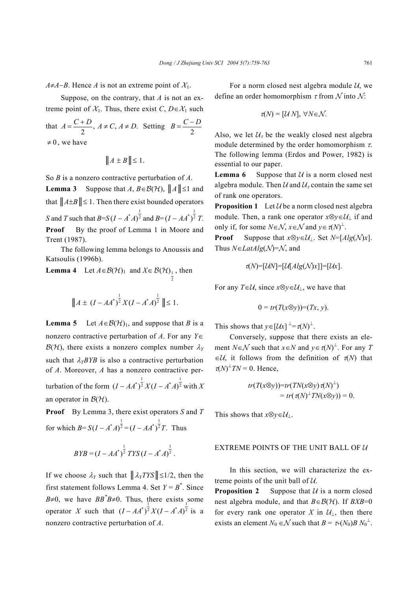*A*≠*A*−*B*. Hence *A* is not an extreme point of  $X_1$ .

Suppose, on the contrary, that *A* is not an extreme point of  $\mathcal{X}_1$ . Thus, there exist *C*, *D*∈ $\mathcal{X}_1$  such

that  $A = \frac{C+D}{2}$ ,  $A \neq C$ ,  $A \neq D$ . Setting  $B = \frac{C-D}{2}$  $\neq 0$ , we have

$$
||A \pm B|| \le 1.
$$

So *B* is a nonzero contractive perturbation of *A*.

**Lemma 3** Suppose that *A*,  $B \in \mathcal{B}(\mathcal{H})$ ,  $||A|| \le 1$  and that  $||A \pm B|| \le 1$ . Then there exist bounded operators *S* and *T* such that *B*=*S*  $(I - A^*A)^{\frac{1}{2}}$  and  $B = (I - AA^*)^{\frac{1}{2}}T$ . **Proof** By the proof of Lemma 1 in Moore and Trent (1987).

The following lemma belongs to Anoussis and Katsoulis (1996b).

**Lemma 4** Let  $A \in \mathcal{B}(\mathcal{H})_1$  and  $X \in \mathcal{B}(\mathcal{H})_1$ , then 2

$$
||A \pm (I - AA^*)^{\frac{1}{2}} X (I - A^* A)^{\frac{1}{2}}|| \le 1.
$$

**Lemma 5** Let  $A \in \mathcal{B}(\mathcal{H})_1$ , and suppose that *B* is a nonzero contractive perturbation of *A*. For any *Y*∈  $\mathcal{B}(\mathcal{H})$ , there exists a nonzero complex number  $\lambda_Y$ such that  $\lambda_Y B Y B$  is also a contractive perturbation of *A*. Moreover, *A* has a nonzero contractive perturbation of the form  $(I - AA^*)^{\frac{1}{2}} X(I - A^*A)^{\frac{1}{2}}$  with X an operator in  $\mathcal{B}(\mathcal{H})$ .

**Proof** By Lemma 3, there exist operators *S* and *T* for which *B*=  $S(I - A^*A)^{\frac{1}{2}} = (I - AA^*)^{\frac{1}{2}}T$ . Thus

$$
BYB = (I - AA^*)^{\frac{1}{2}} TYS (I - A^*A)^{\frac{1}{2}}.
$$

If we choose  $\lambda_Y$  such that  $\|\lambda_Y TYS\| \leq 1/2$ , then the first statement follows Lemma 4. Set  $Y = B^*$ . Since *B*≠0, we have *BB*<sup>\*</sup>*B*≠0. Thus, there exists some operator *X* such that  $(I - AA^*)^2 X (I - A^*A)^2$  is a nonzero contractive perturbation of *A*.

For a norm closed nest algebra module  $U$ , we define an order homomorphism  $\tau$  from  $\mathcal N$  into  $\mathcal N$ :

$$
\tau(N) = [\mathcal{U} N], \ \forall N \in \mathcal{N}.
$$

Also, we let  $\mathcal{U}_{\tau}$  be the weakly closed nest algebra module determined by the order homomorphism  $\tau$ . The following lemma (Erdos and Power, 1982) is essential to our paper.

**Lemma 6** Suppose that  $U$  is a norm closed nest algebra module. Then U and  $U_{\tau}$  contain the same set of rank one operators.

**Proposition 1** Let  $\mathcal{U}$  be a norm closed nest algebra module. Then, a rank one operator  $x \otimes y \in \mathcal{U}_\perp$  if and only if, for some  $N \in \mathcal{N}$ ,  $x \in \mathcal{N}$  and  $y \in \tau(N)^{\perp}$ .

**Proof** Suppose that  $x \otimes y \in \mathcal{U}_1$ . Set  $N = [Alg(\mathcal{N})x]$ . Thus *N*∈*LatAlg*(N)=N, and

$$
\tau(N)=[\mathcal{U}N]=[\mathcal{U}[Alg(\mathcal{N})x]]=[\mathcal{U}x].
$$

For any  $T \in \mathcal{U}$ , since  $x \otimes y \in \mathcal{U}$ , we have that

$$
0 = tr(T(x \otimes y)) = (Tx, y).
$$

This shows that  $y \in [\mathcal{U}x]$ <sup> $\perp = \tau(N)^{\perp}$ .</sup>

Conversely, suppose that there exists an element *N*∈*N* such that  $x \in N$  and  $y \in \tau(N)^{\perp}$ . For any *T*  $\in \mathcal{U}$ , it follows from the definition of  $\tau(N)$  that  $\tau(N)^{\perp}TN = 0$ . Hence,

$$
tr(T(x\otimes y))=tr(TN(x\otimes y)\,\pi(N)^{\perp})
$$
  
=  $tr(\pi(N)^{\perp}TN(x\otimes y))=0.$ 

This shows that  $x \otimes y \in \mathcal{U}_\perp$ .

### EXTREME POINTS OF THE UNIT BALL OF  $U$

In this section, we will characterize the extreme points of the unit ball of  $U$ .

**Proposition 2** Suppose that  $U$  is a norm closed nest algebra module, and that  $B \in \mathcal{B}(\mathcal{H})$ . If  $BXB=0$ for every rank one operator *X* in  $\mathcal{U}_\perp$ , then there exists an element  $N_0 \in \mathcal{N}$  such that  $B = \tau_*(N_0)B N_0^{\perp}$ .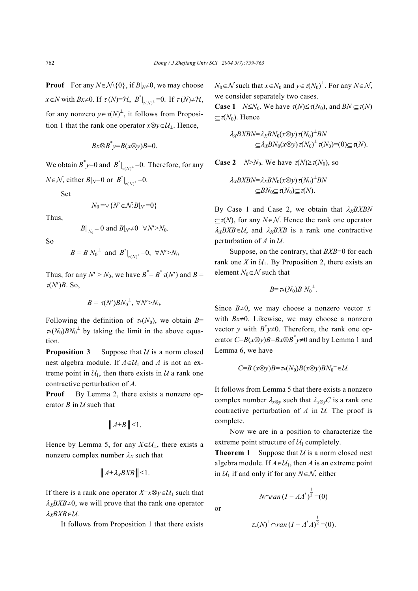**Proof** For any  $N \in \mathcal{N} \setminus \{0\}$ , if  $B|_N \neq 0$ , we may choose *x*∈*N* with *Bx*≠0. If  $\tau$  (*N*)= $\mathcal{H}$ ,  $B^*|_{\tau(N)^{\perp}}=0$ . If  $\tau$  (*N*)≠ $\mathcal{H}$ , for any nonzero  $y \in \tau(N)^{\perp}$ , it follows from Proposition 1 that the rank one operator  $x \otimes y \in \mathcal{U}_\perp$ . Hence,

$$
Bx \otimes B^*y = B(x \otimes y)B = 0.
$$

We obtain  $B^*y=0$  and  $B^*|_{\tau(N)^{\perp}}=0$ . Therefore, for any  $N \in \mathcal{N}$ , either  $B|_N=0$  or  $B^*|_{\tau(N)^{\perp}}=0$ .

Set

$$
N_0 = \vee \{ N' \in \mathcal{N} : B|_{N'} = 0 \}
$$

Thus,

$$
B|_{N_0} = 0
$$
 and  $B|_{N'} \neq 0 \quad \forall N' > N_0$ .

So

$$
B = B N_0^{\perp}
$$
 and  $B^*|_{\tau(N)^{\perp}} = 0$ ,  $\forall N' > N_0$ 

Thus, for any  $N' > N_0$ , we have  $B^* = B^* \tau(N')$  and  $B =$  $\tau(N')B$ . So,

$$
B = \tau(N') B N_0^{\perp}, \ \forall N' > N_0.
$$

Following the definition of  $\tau*(N_0)$ , we obtain *B*=  $\tau*(N_0)BN_0^{\perp}$  by taking the limit in the above equation.

**Proposition 3** Suppose that  $U$  is a norm closed nest algebra module. If  $A \in U_1$  and  $A$  is not an extreme point in  $U_1$ , then there exists in U a rank one contractive perturbation of *A*.

**Proof** By Lemma 2, there exists a nonzero operator  $B$  in  $U$  such that

$$
\|A \pm B\| \leq 1.
$$

Hence by Lemma 5, for any  $X \in U_1$ , there exists a nonzero complex number  $\lambda_X$  such that

$$
\|A \pm \lambda_X B X B\| \leq 1.
$$

If there is a rank one operator  $X=x\otimes y \in U_1$  such that  $\lambda_X B X B \neq 0$ , we will prove that the rank one operator <sup>λ</sup>*XBXB*∈U.

It follows from Proposition 1 that there exists

*N*<sup>0</sup>∈*N* such that  $x \in N_0$  and  $y \in \tau(N_0)^{\perp}$ . For any  $N \in \mathcal{N}$ , we consider separately two cases.

**Case 1** *N*≤*N*<sub>0</sub>. We have  $\tau(N) \leq \tau(N_0)$ , and  $BN \subset \tau(N)$  $\subset \tau(N_0)$ . Hence

$$
\lambda_X B X B N = \lambda_X B N_0 (x \otimes y) \tau(N_0)^{\perp} B N
$$
  
\n
$$
\subseteq \lambda_X B N_0 (x \otimes y) \tau(N_0)^{\perp} \tau(N_0) = (0) \subseteq \tau(N).
$$

**Case 2** *N*>*N*<sub>0</sub>. We have  $\tau(N) \ge \tau(N_0)$ , so

$$
\lambda_X B X B N = \lambda_X B N_0 (x \otimes y) \pi (N_0)^{\perp} B N
$$
  
\n
$$
\subseteq B N_0 \subseteq \pi (N_0) \subseteq \pi (N).
$$

By Case 1 and Case 2, we obtain that  $\lambda_X B X B N$ ⊆τ(*N*), for any *N*∈N. Hence the rank one operator  $\lambda_X B X B \in \mathcal{U}$ , and  $\lambda_X B X B$  is a rank one contractive perturbation of  $A$  in  $U$ .

Suppose, on the contrary, that *BXB*=0 for each rank one *X* in  $U_1$ . By Proposition 2, there exists an element  $N_0 \in \mathcal{N}$  such that

$$
B = \tau_*(N_0) B N_0^{\perp}.
$$

Since  $B\neq 0$ , we may choose a nonzero vector *x* with *Bx*≠0. Likewise, we may choose a nonzero vector *y* with  $B^*y \neq 0$ . Therefore, the rank one operator  $C = B(x \otimes y)B = Bx \otimes B^*y \neq 0$  and by Lemma 1 and Lemma 6, we have

$$
C=B\left(x\otimes y\right)B=\tau*(N_0)B(x\otimes y)BN_0^{\perp}\in\mathcal{U}.
$$

It follows from Lemma 5 that there exists a nonzero complex number  $\lambda_{x\otimes y}$  such that  $\lambda_{x\otimes y}C$  is a rank one contractive perturbation of  $A$  in  $U$ . The proof is complete.

Now we are in a position to characterize the extreme point structure of  $U_1$  completely.

**Theorem 1** Suppose that  $U$  is a norm closed nest algebra module. If  $A \in U_1$ , then *A* is an extreme point in  $U_1$  if and only if for any  $N \in \mathcal{N}$ , either

> *N*∩*ran*  $(I - AA^*)^{\frac{1}{2}} = (0)$

$$
\tau_{2}(N)^{\perp}\cap\text{ran}(I-A^*A)^{\frac{1}{2}}=(0).
$$

or